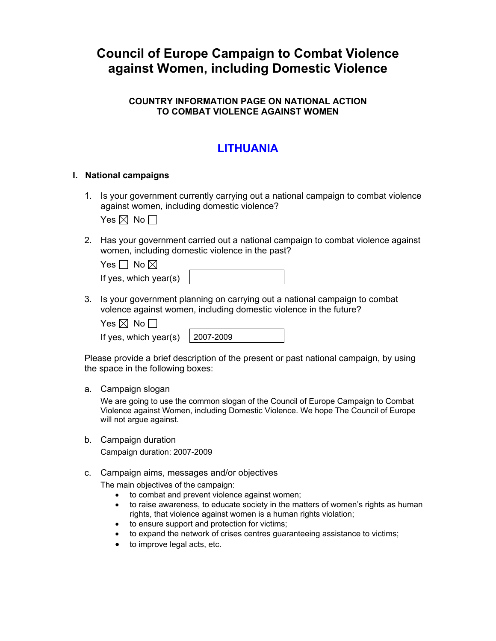# **Council of Europe Campaign to Combat Violence against Women, including Domestic Violence**

### **COUNTRY INFORMATION PAGE ON NATIONAL ACTION TO COMBAT VIOLENCE AGAINST WOMEN**

## **LITHUANIA**

#### **I. National campaigns**

1. Is your government currently carrying out a national campaign to combat violence against women, including domestic violence?

Yes  $\boxtimes$  No  $\Box$ 

2. Has your government carried out a national campaign to combat violence against women, including domestic violence in the past?

| Yes $\Box$ No $\boxtimes$ |  |
|---------------------------|--|
| If yes, which year(s)     |  |

3. Is your government planning on carrying out a national campaign to combat volence against women, including domestic violence in the future?

| es I⊠l | N٥ |
|--------|----|
|--------|----|

If yes, which year(s)  $\vert$  2007-2009

Please provide a brief description of the present or past national campaign, by using the space in the following boxes:

a. Campaign slogan

We are going to use the common slogan of the Council of Europe Campaign to Combat Violence against Women, including Domestic Violence. We hope The Council of Europe will not argue against.

b. Campaign duration Campaign duration: 2007-2009

#### c. Campaign aims, messages and/or objectives

The main objectives of the campaign:

- to combat and prevent violence against women;
- to raise awareness, to educate society in the matters of women's rights as human rights, that violence against women is a human rights violation;
- to ensure support and protection for victims;
- to expand the network of crises centres guaranteeing assistance to victims;
- to improve legal acts, etc.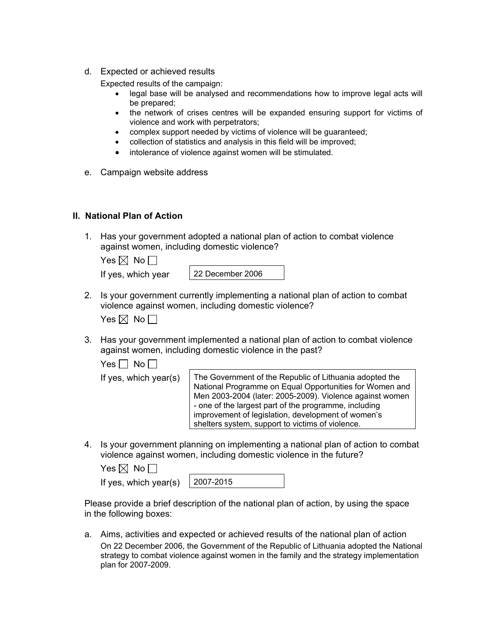d. Expected or achieved results

Expected results of the campaign:

- legal base will be analysed and recommendations how to improve legal acts will be prepared;
- the network of crises centres will be expanded ensuring support for victims of violence and work with perpetrators;
- complex support needed by victims of violence will be guaranteed;
- collection of statistics and analysis in this field will be improved;
- intolerance of violence against women will be stimulated.
- e. Campaign website address

### **II. National Plan of Action**

1. Has your government adopted a national plan of action to combat violence against women, including domestic violence?

|  | If yes, which yea |  |
|--|-------------------|--|
|  |                   |  |

ar 122 December 2006

2. Is your government currently implementing a national plan of action to combat violence against women, including domestic violence?

| Yes $\boxtimes$ No [ |  |  |
|----------------------|--|--|
|----------------------|--|--|

3. Has your government implemented a national plan of action to combat violence against women, including domestic violence in the past?

Yes  $\Box$  No  $\Box$ 

If yes, which year(s)  $\vert$  The Government of the Republic of Lithuania adopted the National Programme on Equal Opportunities for Women and Men 2003-2004 (later: 2005-2009). Violence against women - one of the largest part of the programme, including improvement of legislation, development of women's shelters system, support to victims of violence.

4. Is your government planning on implementing a national plan of action to combat violence against women, including domestic violence in the future?

| Yes $\boxtimes$ No $\Box$               |  |
|-----------------------------------------|--|
| If yes, which year(s) $\vert$ 2007-2019 |  |

| r(s) | $ 2007 - 2015$ |
|------|----------------|
|      |                |

Please provide a brief description of the national plan of action, by using the space in the following boxes:

a. Aims, activities and expected or achieved results of the national plan of action On 22 December 2006, the Government of the Republic of Lithuania adopted the National strategy to combat violence against women in the family and the strategy implementation plan for 2007-2009.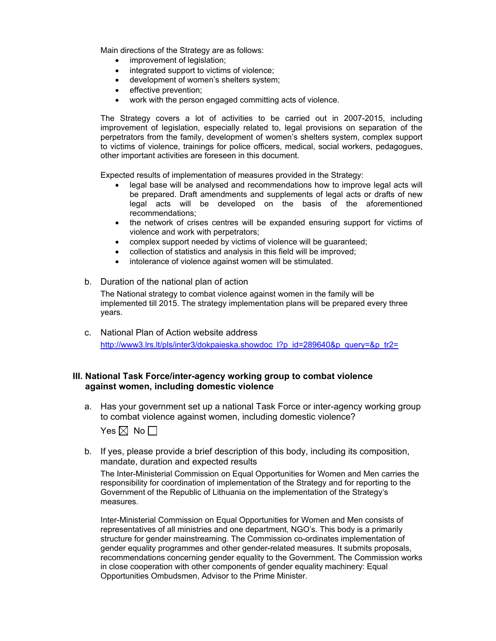Main directions of the Strategy are as follows:

- improvement of legislation;
- integrated support to victims of violence;
- development of women's shelters system;
- effective prevention;
- work with the person engaged committing acts of violence.

The Strategy covers a lot of activities to be carried out in 2007-2015, including improvement of legislation, especially related to, legal provisions on separation of the perpetrators from the family, development of women's shelters system, complex support to victims of violence, trainings for police officers, medical, social workers, pedagogues, other important activities are foreseen in this document.

Expected results of implementation of measures provided in the Strategy:

- legal base will be analysed and recommendations how to improve legal acts will be prepared. Draft amendments and supplements of legal acts or drafts of new legal acts will be developed on the basis of the aforementioned recommendations;
- the network of crises centres will be expanded ensuring support for victims of violence and work with perpetrators;
- complex support needed by victims of violence will be guaranteed;
- collection of statistics and analysis in this field will be improved;
- intolerance of violence against women will be stimulated.
- b. Duration of the national plan of action

The National strategy to combat violence against women in the family will be implemented till 2015. The strategy implementation plans will be prepared every three years.

c. National Plan of Action website address [http://www3.lrs.lt/pls/inter3/dokpaieska.showdoc\\_l?p\\_id=289640&p\\_query=&p\\_tr2=](http://www3.lrs.lt/pls/inter3/dokpaieska.showdoc_l?p_id=289640&p_query=&p_tr2=)

#### **III. National Task Force/inter-agency working group to combat violence against women, including domestic violence**

a. Has your government set up a national Task Force or inter-agency working group to combat violence against women, including domestic violence?

Yes  $\boxtimes$  No  $\Box$ 

b. If yes, please provide a brief description of this body, including its composition, mandate, duration and expected results

The Inter-Ministerial Commission on Equal Opportunities for Women and Men carries the responsibility for coordination of implementation of the Strategy and for reporting to the Government of the Republic of Lithuania on the implementation of the Strategy's measures.

Inter-Ministerial Commission on Equal Opportunities for Women and Men consists of representatives of all ministries and one department, NGO's. This body is a primarily structure for gender mainstreaming. The Commission co-ordinates implementation of gender equality programmes and other gender-related measures. It submits proposals, recommendations concerning gender equality to the Government. The Commission works in close cooperation with other components of gender equality machinery: Equal Opportunities Ombudsmen, Advisor to the Prime Minister.